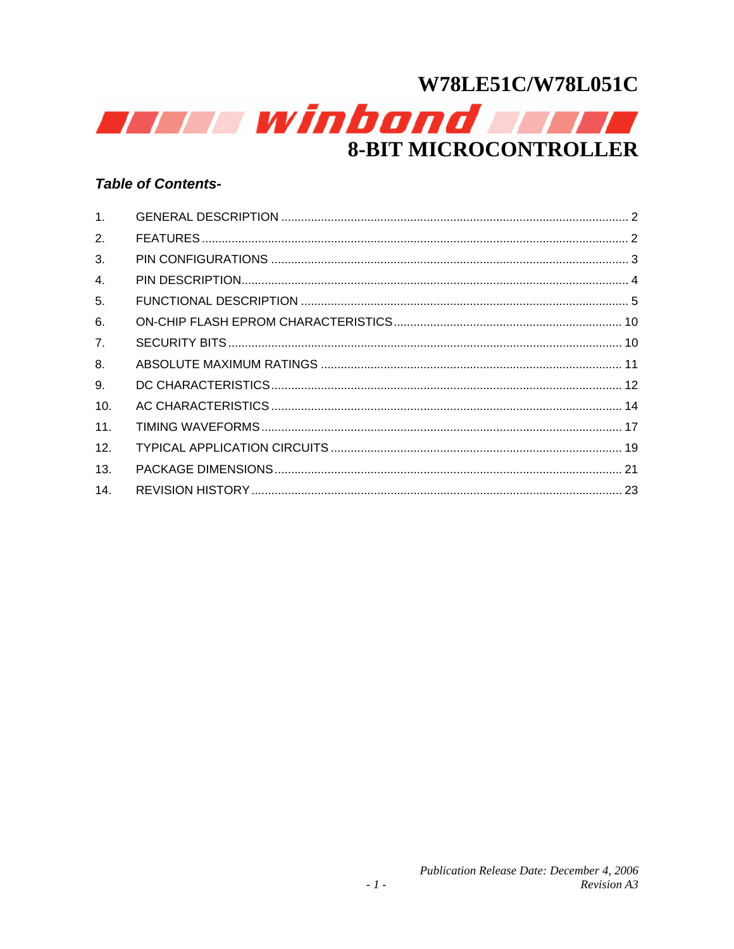

# **Table of Contents-**

| 1 <sub>1</sub> |  |
|----------------|--|
| 2.             |  |
| 3.             |  |
| 4.             |  |
| 5.             |  |
| 6.             |  |
| 7 <sub>1</sub> |  |
| 8.             |  |
| 9.             |  |
| 10.            |  |
| 11.            |  |
| 12.            |  |
| 13.            |  |
| 14.            |  |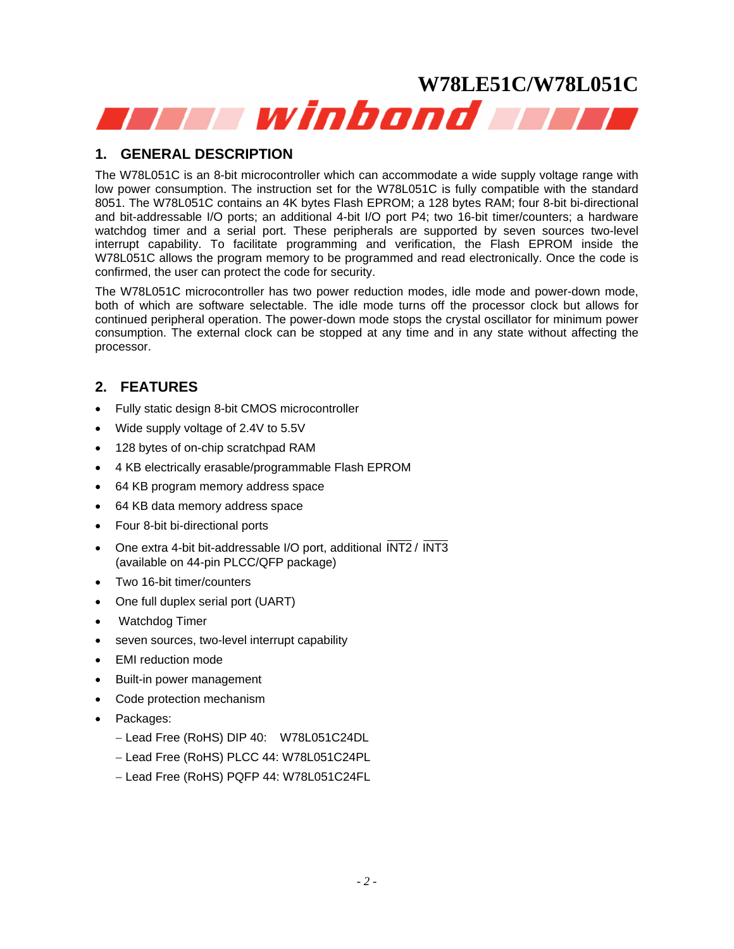# <span id="page-1-0"></span>**W78LE51C/W78L051C**  aan winbond and a

# **1. GENERAL DESCRIPTION**

The W78L051C is an 8-bit microcontroller which can accommodate a wide supply voltage range with low power consumption. The instruction set for the W78L051C is fully compatible with the standard 8051. The W78L051C contains an 4K bytes Flash EPROM; a 128 bytes RAM; four 8-bit bi-directional and bit-addressable I/O ports; an additional 4-bit I/O port P4; two 16-bit timer/counters; a hardware watchdog timer and a serial port. These peripherals are supported by seven sources two-level interrupt capability. To facilitate programming and verification, the Flash EPROM inside the W78L051C allows the program memory to be programmed and read electronically. Once the code is confirmed, the user can protect the code for security.

The W78L051C microcontroller has two power reduction modes, idle mode and power-down mode, both of which are software selectable. The idle mode turns off the processor clock but allows for continued peripheral operation. The power-down mode stops the crystal oscillator for minimum power consumption. The external clock can be stopped at any time and in any state without affecting the processor.

# **2. FEATURES**

- Fully static design 8-bit CMOS microcontroller
- Wide supply voltage of 2.4V to 5.5V
- 128 bytes of on-chip scratchpad RAM
- 4 KB electrically erasable/programmable Flash EPROM
- 64 KB program memory address space
- 64 KB data memory address space
- Four 8-bit bi-directional ports
- One extra 4-bit bit-addressable I/O port, additional  $\overline{\text{INT2}}$  /  $\overline{\text{INT3}}$ (available on 44-pin PLCC/QFP package)
- Two 16-bit timer/counters
- One full duplex serial port (UART)
- Watchdog Timer
- seven sources, two-level interrupt capability
- EMI reduction mode
- Built-in power management
- Code protection mechanism
- Packages:
	- − Lead Free (RoHS) DIP 40: W78L051C24DL
	- − Lead Free (RoHS) PLCC 44: W78L051C24PL
	- − Lead Free (RoHS) PQFP 44: W78L051C24FL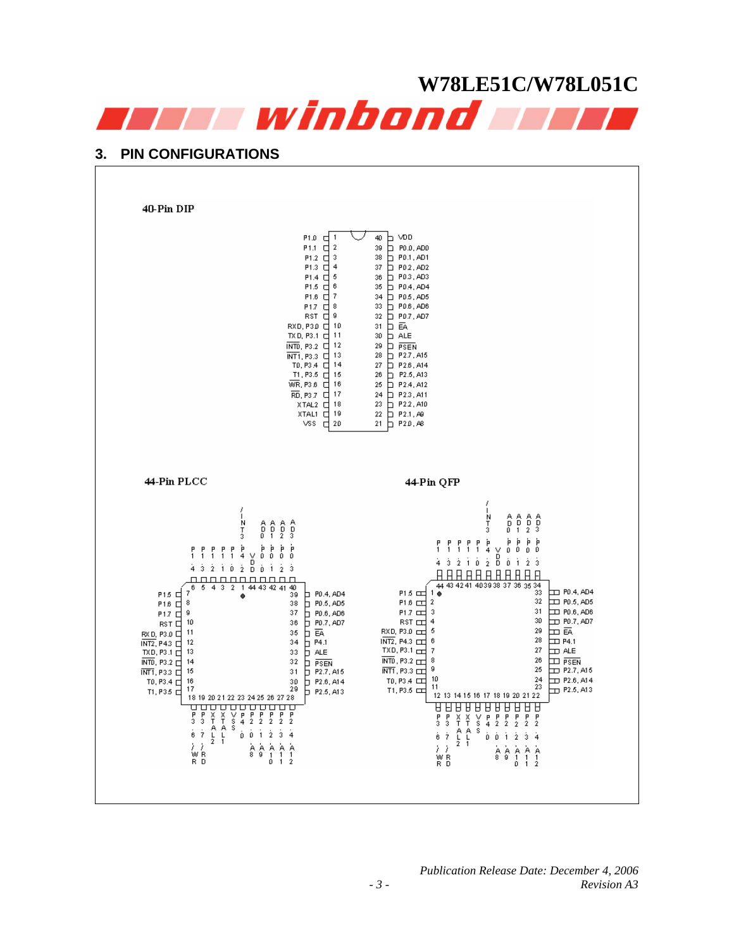<span id="page-2-0"></span>

# **3. PIN CONFIGURATIONS**

40-Pin DIP  $\begin{array}{|c|c|c|}\n\hline\n40 & D & \sqrt{D}D \\
39 & D & P0.0, AD0 \\
38 & D & P0.1, AD1 \\
37 & D & 90.2, AD2\n\end{array}$  $[0.1cm] \begin{tabular}{|c|c|c|c|} \hline \textbf{P1.0} & \textbf{C} & \textbf{I} \\ \hline \textbf{P1.1} & \textbf{P1.2} & \textbf{C} & \textbf{I} \\ \hline \textbf{P1.3} & \textbf{I} & \textbf{I} & \textbf{I} \\ \hline \textbf{P1.4} & \textbf{P1.5} & \textbf{C} & \textbf{I} & \textbf{I} \\ \hline \textbf{P1.6} & \textbf{P1.7} & \textbf{I} & \textbf{I} & \textbf{I} \\ \hline \textbf{P1.7}$  $37$  PD2, AD2<br>  $36$  PD3, AD3 33 D PDS, ADS<br>32 D PDS, ADS<br>32 D PD7, AD7<br>31 D EA  $\begin{array}{r} 31 \overline{\smash{\big)}\ } & \underline{\mbox{\textbf{A}}\ \textbf{E}} \\ 29 \overline{\smash{\big)}\ } & \underline{\mbox{\textbf{P}}\ \textbf{S}\ \textbf{E}} \\ 28 \overline{\smash{\big)}\ } & \underline{\mbox{\textbf{P}}\ \textbf{S}\ \textbf{E}} \\ 28 \overline{\smash{\big)}\ } & \underline{\mbox{\textbf{P}}\ \textbf{27}}\ \textbf{A} \\ 27 \overline{\smash{\big)}\ } & \underline{\mbox{\textbf{P}}\ \textbf{28}}\ \textbf{A} \\ 28 \overline{\smash{\big)}\ } &$ 24 D P23, At1 23 D P22, A10<br>22 D P2.1, A9<br>21 D P2.0, A8 44-Pin PLCC 44-Pin QFP  $\frac{1}{2}$  $\frac{1}{3}$  $\begin{array}{cccc}\nA & A & A \\
D & D & D \\
1 & 2 & 3\n\end{array}$  $\begin{smallmatrix} A\ D\ D \end{smallmatrix}$  $\begin{array}{cccc} A & A & A & A \\ D & D & D & D \\ 0 & 1 & 2 & 3 \end{array}$  $\frac{1}{3}$  $_{0}^{\mathrm{\dot{\mathsf{P}}}}$  $\begin{array}{cccccccccccccc} p & p & p & p & p & p & p & p & p & p & p \\ 1 & 1 & 1 & 1 & 1 & 4 & \vee & 0 & 0 & 0 & 0 \\ \hat 4 & \hat 3 & \hat 2 & \hat 1 & \hat 0 & \hat 2 & \hat 0 & \hat 0 & \hat 1 & \hat 2 & \hat 3 \end{array}$ Ò  $\hat{0}$  ,  $\hat{1}$  ,  $\hat{2}$  $\frac{1}{3}$ **AAAAAAAAAAA** <u>nnnnnnnnnn</u> <u>Н Н Н Н Н Н Н Н Н Н Н Н</u><br>44 43 42 41 403938 37 36 35 34<br>● 33  $\begin{array}{r} \begin{array}{r} \text{F15} \\ \text{F16} \end{array} \\ \begin{array}{r} \text{F16} \\ \text{F17} \end{array} \\ \begin{array}{r} \text{F16} \\ \text{F17} \end{array} \\ \begin{array}{r} \text{R17} \\ \text{R20} \end{array} \\ \begin{array}{r} \text{R21} \\ \text{R31} \end{array} \\ \begin{array}{r} \text{R31} \\ \text{N} \end{array} \\ \begin{array}{r} \text{R22} \\ \text{N} \end{array} \\ \begin{array}{r} \text{R32} \\ \text{N} \$  $5 \quad 4 \quad 3 \quad 2$  $\frac{1}{\bullet}$  44 43 42 41 40  $_{\rm 6}$  $\frac{1}{\sqrt{11}}$  PD.4, AD4  $P1.5 \nightharpoonup$  $1\bullet$  $\vert$  P0.4, AD4  $32$  $\frac{1}{2}$  P0.5, AD5<br>P0.6, AD6<br>P P0.7, AD7  $P1.6 \nightharpoonup 2$ 38  $100.6, A08$ <br> $100.7, A07$ <br> $100.7, A07$ <br> $100.7, A07$  $31$  $P1.7$   $\square$  $_{\rm 37}$ 3  $30\,$  $\begin{array}{c} 4 \\ 5 \end{array}$  $3\sqrt{6}$ <sub>RST 대</sub> DI III<br>DI P4.1<br>DI P4.1 RXD, P3.0 29 35 28  $\overline{D}$  P4.1 34 6 33  $TXD, P3.1 \rightleftharpoons$  $\overline{7}$  $27\,$  $\frac{1}{P}$   $\frac{1}{P$  **PSEN**<br> $P$  **P2.7, A15**  $\overline{\text{INTD}}$ , P3.2 8  ${\bf 26}$  $\Box$  PSEN 32  $\frac{\overline{\text{INT1}}}{\text{T0}, \text{P3.4}} \begin{array}{c}\n\overline{\text{LT}} \\
\overline{\text{T0}} \\
\end{array}$ 9 25  $\overline{1}$  P<sub>2.7</sub>, A<sub>15</sub>  $31$  $\frac{24}{23}$ 10  $\pm 0.6, A14$ 16  $5$  P<sub>2.6</sub>, A14<br> $5$  P<sub>2.5</sub>, A13 TO, P3.4  $\Box$  $\frac{30}{29}$  $11$  $17$  $T1, P3.5$  $\Box$  P2.5, A13  $T1, P35$ 12 13 14 15 16 17 18 19 20 21 22 18 19 20 21 22 23 24 25 26 27 28  $\begin{array}{c} \left\langle \right. \\ \left. \right. \\ \left. \right. \\ \left. \right. \\ \left. \right. \\ \left. \right. \\ \left. \right. \\ \left. \right. \\ \left. \right. \\ \left. \right. \\ \left. \right. \\ \left. \right. \\ \left. \right. \\ \left. \right. \\ \left. \right. \\ \left. \right. \\ \left. \right. \\ \left. \right. \\ \left. \right. \\ \left. \right. \\ \left. \right. \\ \left. \right. \\ \left. \right. \\ \left. \right. \\ \left. \right. \\ \left. \right. \\ \left. \right. \\ \left. \right. \\ \left. \right. \\ \left. \right. \\ \left$  $\begin{array}{cccccccccc} \mathbb{A} & \mathbb{A} & \mathbb{A} & \mathbb{A} & \mathbb{A} & \mathbb{A} \\ \mathbb{8} & 9 & 1 & 1 & 1 \\ & & 0 & 1 & 2 \end{array}$  $\begin{array}{c} \n\lambda \\
\gamma \\
R \\
R\n\end{array}$  $\begin{array}{cccccccccc} \dot{\mathbb{A}} & \dot{\mathbb{A}} & \dot{\mathbb{A}} & \dot{\mathbb{A}} & \dot{\mathbb{A}} \\ \mathbb{8} & 9 & 1 & 1 & 1 \\ \mathbb{8} & 9 & 1 & 1 & 2 \end{array}$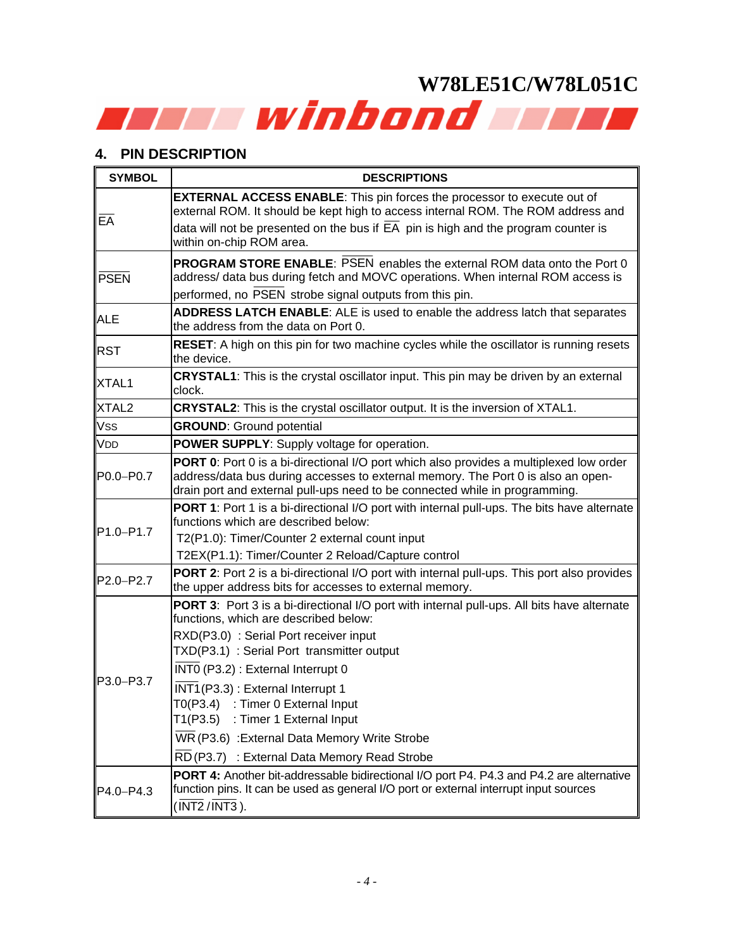# <span id="page-3-0"></span>**4. PIN DESCRIPTION**

| <b>SYMBOL</b>                      | <b>DESCRIPTIONS</b>                                                                                                                                                                                                                                                                                                                                                                                                                                                                                   |
|------------------------------------|-------------------------------------------------------------------------------------------------------------------------------------------------------------------------------------------------------------------------------------------------------------------------------------------------------------------------------------------------------------------------------------------------------------------------------------------------------------------------------------------------------|
| EA                                 | <b>EXTERNAL ACCESS ENABLE:</b> This pin forces the processor to execute out of<br>external ROM. It should be kept high to access internal ROM. The ROM address and<br>data will not be presented on the bus if $E\overline{A}$ pin is high and the program counter is<br>within on-chip ROM area.                                                                                                                                                                                                     |
| PSEN                               | <b>PROGRAM STORE ENABLE: PSEN enables the external ROM data onto the Port 0</b><br>address/ data bus during fetch and MOVC operations. When internal ROM access is<br>performed, no PSEN strobe signal outputs from this pin.                                                                                                                                                                                                                                                                         |
| <b>ALE</b>                         | ADDRESS LATCH ENABLE: ALE is used to enable the address latch that separates<br>the address from the data on Port 0.                                                                                                                                                                                                                                                                                                                                                                                  |
| <b>RST</b>                         | <b>RESET:</b> A high on this pin for two machine cycles while the oscillator is running resets<br>the device.                                                                                                                                                                                                                                                                                                                                                                                         |
| XTAL1                              | CRYSTAL1: This is the crystal oscillator input. This pin may be driven by an external<br>clock.                                                                                                                                                                                                                                                                                                                                                                                                       |
| XTAL <sub>2</sub>                  | <b>CRYSTAL2:</b> This is the crystal oscillator output. It is the inversion of XTAL1.                                                                                                                                                                                                                                                                                                                                                                                                                 |
| <b>Vss</b>                         | <b>GROUND:</b> Ground potential                                                                                                                                                                                                                                                                                                                                                                                                                                                                       |
| <b>VDD</b>                         | <b>POWER SUPPLY:</b> Supply voltage for operation.                                                                                                                                                                                                                                                                                                                                                                                                                                                    |
| P0.0-P0.7                          | PORT 0: Port 0 is a bi-directional I/O port which also provides a multiplexed low order<br>address/data bus during accesses to external memory. The Port 0 is also an open-<br>drain port and external pull-ups need to be connected while in programming.                                                                                                                                                                                                                                            |
| P <sub>1.0</sub> -P <sub>1.7</sub> | <b>PORT 1:</b> Port 1 is a bi-directional I/O port with internal pull-ups. The bits have alternate<br>functions which are described below:<br>T2(P1.0): Timer/Counter 2 external count input<br>T2EX(P1.1): Timer/Counter 2 Reload/Capture control                                                                                                                                                                                                                                                    |
| P2.0-P2.7                          | <b>PORT 2:</b> Port 2 is a bi-directional I/O port with internal pull-ups. This port also provides<br>the upper address bits for accesses to external memory.                                                                                                                                                                                                                                                                                                                                         |
| P3.0-P3.7                          | PORT 3: Port 3 is a bi-directional I/O port with internal pull-ups. All bits have alternate<br>functions, which are described below:<br>RXD(P3.0) : Serial Port receiver input<br>TXD(P3.1) : Serial Port transmitter output<br>$\overline{\text{INT0}}$ (P3.2) : External Interrupt 0<br>INT1(P3.3): External Interrupt 1<br>T0(P3.4) : Timer 0 External Input<br>T1(P3.5) : Timer 1 External Input<br>WR (P3.6) : External Data Memory Write Strobe<br>RD (P3.7) : External Data Memory Read Strobe |
| $P4.0 - P4.3$                      | PORT 4: Another bit-addressable bidirectional I/O port P4. P4.3 and P4.2 are alternative<br>function pins. It can be used as general I/O port or external interrupt input sources<br>$(\overline{\text{INT2}} / \overline{\text{INT3}})$ .                                                                                                                                                                                                                                                            |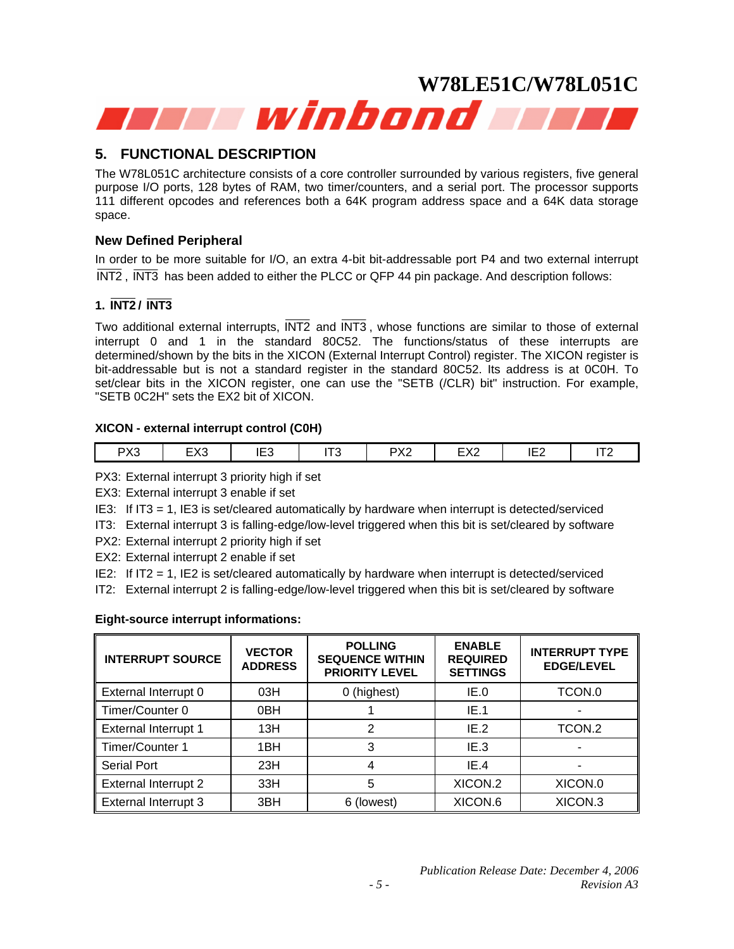<span id="page-4-0"></span>

# **5. FUNCTIONAL DESCRIPTION**

The W78L051C architecture consists of a core controller surrounded by various registers, five general purpose I/O ports, 128 bytes of RAM, two timer/counters, and a serial port. The processor supports 111 different opcodes and references both a 64K program address space and a 64K data storage space.

# **New Defined Peripheral**

In order to be more suitable for I/O, an extra 4-bit bit-addressable port P4 and two external interrupt INT2 , INT3 has been added to either the PLCC or QFP 44 pin package. And description follows:

# **1. INT2 / INT3**

Two additional external interrupts, INT2 and INT3 , whose functions are similar to those of external interrupt 0 and 1 in the standard 80C52. The functions/status of these interrupts are determined/shown by the bits in the XICON (External Interrupt Control) register. The XICON register is bit-addressable but is not a standard register in the standard 80C52. Its address is at 0C0H. To set/clear bits in the XICON register, one can use the "SETB (/CLR) bit" instruction. For example, "SETB 0C2H" sets the EX2 bit of XICON.

## **XICON - external interrupt control (C0H)**

| $\sim$ | <b>DV2</b><br>⊘∧ວ | <b>FVO</b><br>-<br>⊏∧ວ | .<br>…<br>∪∟י | - די<br>ີ | PX <sub>2</sub> | $\Gamma$<br>-<br>- 7 \ 4 | $-1$<br>╺<br>$- -$ | ---<br>$\cdot$ $\sim$ |
|--------|-------------------|------------------------|---------------|-----------|-----------------|--------------------------|--------------------|-----------------------|
|--------|-------------------|------------------------|---------------|-----------|-----------------|--------------------------|--------------------|-----------------------|

PX3: External interrupt 3 priority high if set

EX3: External interrupt 3 enable if set

IE3: If IT3 = 1, IE3 is set/cleared automatically by hardware when interrupt is detected/serviced

IT3: External interrupt 3 is falling-edge/low-level triggered when this bit is set/cleared by software

PX2: External interrupt 2 priority high if set

EX2: External interrupt 2 enable if set

IE2: If IT2 = 1, IE2 is set/cleared automatically by hardware when interrupt is detected/serviced

IT2: External interrupt 2 is falling-edge/low-level triggered when this bit is set/cleared by software

# **Eight-source interrupt informations:**

| <b>INTERRUPT SOURCE</b>     | <b>VECTOR</b><br><b>ADDRESS</b> | <b>POLLING</b><br><b>SEQUENCE WITHIN</b><br><b>PRIORITY LEVEL</b> | <b>ENABLE</b><br><b>REQUIRED</b><br><b>SETTINGS</b> | <b>INTERRUPT TYPE</b><br><b>EDGE/LEVEL</b> |
|-----------------------------|---------------------------------|-------------------------------------------------------------------|-----------------------------------------------------|--------------------------------------------|
| External Interrupt 0        | 03H                             | 0 (highest)                                                       | IE.0                                                | TCON.0                                     |
| Timer/Counter 0             | 0 <sub>BH</sub>                 |                                                                   | IE.1                                                |                                            |
| <b>External Interrupt 1</b> | 13H                             | 2                                                                 | IE.2                                                | TCON.2                                     |
| Timer/Counter 1             | 1BH                             | 3                                                                 | IE 3                                                |                                            |
| <b>Serial Port</b>          | 23H                             | 4                                                                 | IE.4                                                |                                            |
| <b>External Interrupt 2</b> | 33H                             | 5                                                                 | XICON.2                                             | XICON.0                                    |
| <b>External Interrupt 3</b> | 3BH                             | 6 (lowest)                                                        | XICON.6                                             | XICON.3                                    |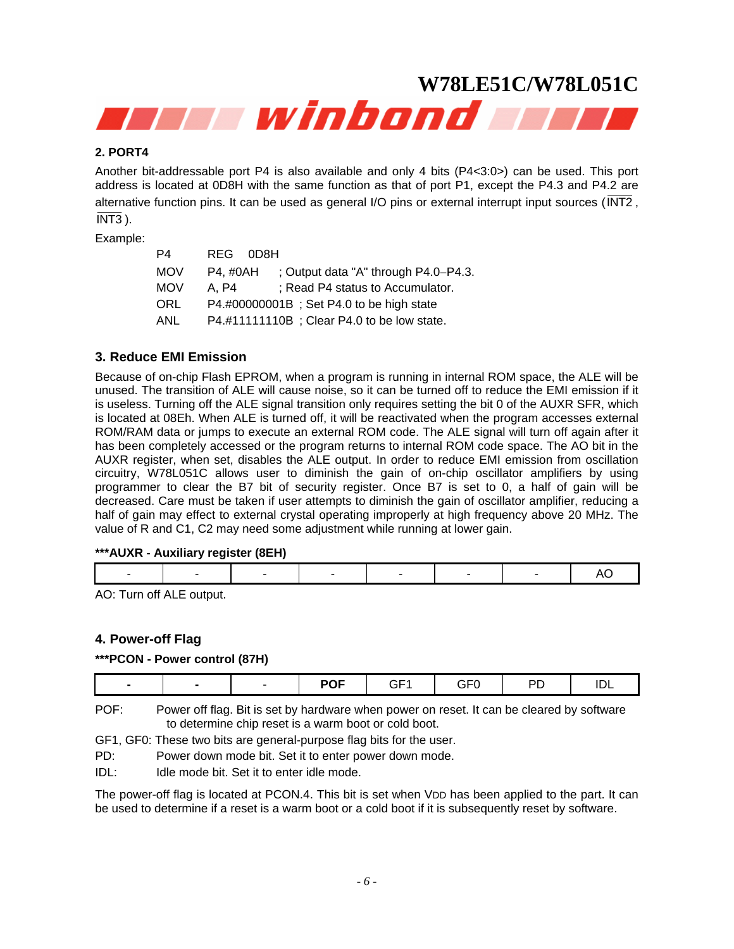

## **2. PORT4**

Another bit-addressable port P4 is also available and only 4 bits (P4<3:0>) can be used. This port address is located at 0D8H with the same function as that of port P1, except the P4.3 and P4.2 are alternative function pins. It can be used as general I/O pins or external interrupt input sources (INT2 , INT3 ).

Example:

| P4         | REG 0D8H                                            |
|------------|-----------------------------------------------------|
| <b>MOV</b> | : Output data "A" through $P4.0-P4.3$ .<br>P4. #0AH |
| <b>MOV</b> | ; Read P4 status to Accumulator.<br>A. P4           |
| ORL        | P4.#00000001B; Set P4.0 to be high state            |
| ANL        | P4.#11111110B; Clear P4.0 to be low state.          |

## **3. Reduce EMI Emission**

Because of on-chip Flash EPROM, when a program is running in internal ROM space, the ALE will be unused. The transition of ALE will cause noise, so it can be turned off to reduce the EMI emission if it is useless. Turning off the ALE signal transition only requires setting the bit 0 of the AUXR SFR, which is located at 08Eh. When ALE is turned off, it will be reactivated when the program accesses external ROM/RAM data or jumps to execute an external ROM code. The ALE signal will turn off again after it has been completely accessed or the program returns to internal ROM code space. The AO bit in the AUXR register, when set, disables the ALE output. In order to reduce EMI emission from oscillation circuitry, W78L051C allows user to diminish the gain of on-chip oscillator amplifiers by using programmer to clear the B7 bit of security register. Once B7 is set to 0, a half of gain will be decreased. Care must be taken if user attempts to diminish the gain of oscillator amplifier, reducing a half of gain may effect to external crystal operating improperly at high frequency above 20 MHz. The value of R and C1, C2 may need some adjustment while running at lower gain.

## **\*\*\*AUXR - Auxiliary register (8EH)**

|--|--|--|--|--|--|--|--|--|--|

AO: Turn off ALE output.

# **4. Power-off Flag**

#### **\*\*\*PCON - Power control (87H)**

| $\sim$ $ \sim$<br>$ \sim$<br>ים<br>. .<br>---<br>╶╸┝<br>---<br>$\sim$<br>$\overline{\phantom{a}}$<br>$\mathbf{v}$<br>. – |  |
|--------------------------------------------------------------------------------------------------------------------------|--|
|--------------------------------------------------------------------------------------------------------------------------|--|

POF: Power off flag. Bit is set by hardware when power on reset. It can be cleared by software to determine chip reset is a warm boot or cold boot.

GF1, GF0: These two bits are general-purpose flag bits for the user.

- PD: Power down mode bit. Set it to enter power down mode.
- IDL: Idle mode bit. Set it to enter idle mode.

The power-off flag is located at PCON.4. This bit is set when VDD has been applied to the part. It can be used to determine if a reset is a warm boot or a cold boot if it is subsequently reset by software.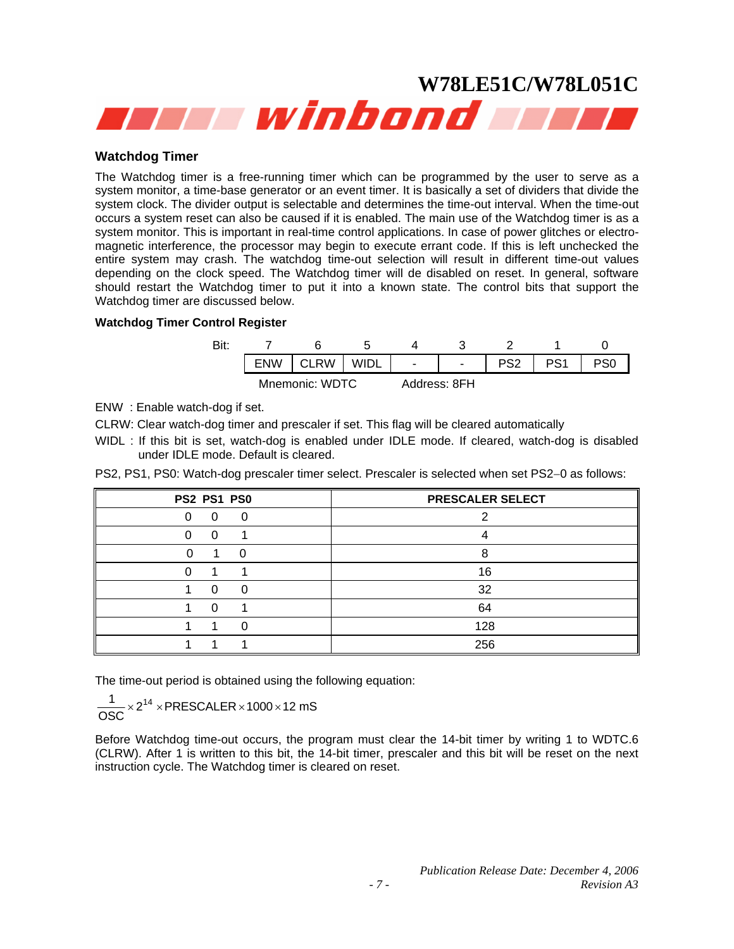

#### **Watchdog Timer**

The Watchdog timer is a free-running timer which can be programmed by the user to serve as a system monitor, a time-base generator or an event timer. It is basically a set of dividers that divide the system clock. The divider output is selectable and determines the time-out interval. When the time-out occurs a system reset can also be caused if it is enabled. The main use of the Watchdog timer is as a system monitor. This is important in real-time control applications. In case of power glitches or electromagnetic interference, the processor may begin to execute errant code. If this is left unchecked the entire system may crash. The watchdog time-out selection will result in different time-out values depending on the clock speed. The Watchdog timer will de disabled on reset. In general, software should restart the Watchdog timer to put it into a known state. The control bits that support the Watchdog timer are discussed below.

#### **Watchdog Timer Control Register**

| Bit: |                |  |        |                          |     |  |  |
|------|----------------|--|--------|--------------------------|-----|--|--|
|      | <b>RW</b>      |  | $\sim$ | $\overline{\phantom{a}}$ | ההח |  |  |
|      | Mnemonic: WDTC |  |        | Address: 8FH             |     |  |  |

ENW : Enable watch-dog if set.

CLRW: Clear watch-dog timer and prescaler if set. This flag will be cleared automatically

WIDL : If this bit is set, watch-dog is enabled under IDLE mode. If cleared, watch-dog is disabled under IDLE mode. Default is cleared.

PS2, PS1, PS0: Watch-dog prescaler timer select. Prescaler is selected when set PS2−0 as follows:

| <b>PS2 PS1 PS0</b> | PRESCALER SELECT |
|--------------------|------------------|
| 0<br>O             |                  |
| U<br>0             |                  |
|                    |                  |
|                    | 16               |
| 0<br>O             | 32               |
|                    | 64               |
| O                  | 128              |
|                    | 256              |

The time-out period is obtained using the following equation:

$$
\frac{1}{\text{OSC}} \times 2^{14} \times \text{PRESCALER} \times 1000 \times 12 \text{ mS}
$$

Before Watchdog time-out occurs, the program must clear the 14-bit timer by writing 1 to WDTC.6 (CLRW). After 1 is written to this bit, the 14-bit timer, prescaler and this bit will be reset on the next instruction cycle. The Watchdog timer is cleared on reset.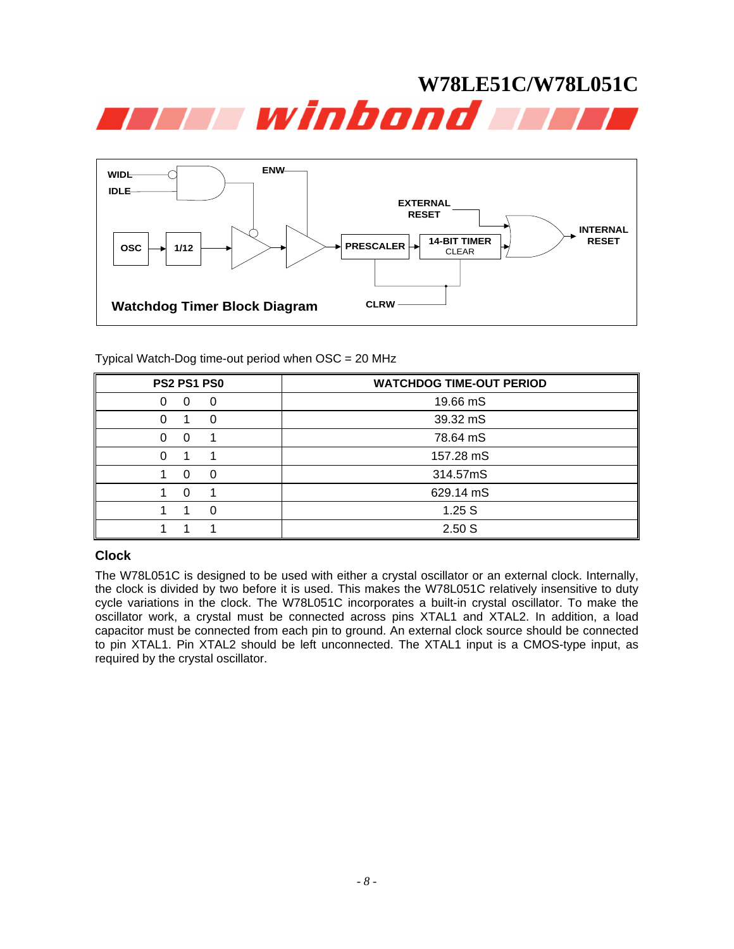



Typical Watch-Dog time-out period when OSC = 20 MHz

| <b>PS2 PS1 PS0</b> | <b>WATCHDOG TIME-OUT PERIOD</b> |
|--------------------|---------------------------------|
| 0<br>0<br>0        | 19.66 mS                        |
| 0<br>0             | 39.32 mS                        |
| 0<br>0             | 78.64 mS                        |
| 0                  | 157.28 mS                       |
| $\Omega$<br>0      | 314.57mS                        |
| 0                  | 629.14 mS                       |
| ŋ                  | 1.25S                           |
|                    | 2.50S                           |

## **Clock**

The W78L051C is designed to be used with either a crystal oscillator or an external clock. Internally, the clock is divided by two before it is used. This makes the W78L051C relatively insensitive to duty cycle variations in the clock. The W78L051C incorporates a built-in crystal oscillator. To make the oscillator work, a crystal must be connected across pins XTAL1 and XTAL2. In addition, a load capacitor must be connected from each pin to ground. An external clock source should be connected to pin XTAL1. Pin XTAL2 should be left unconnected. The XTAL1 input is a CMOS-type input, as required by the crystal oscillator.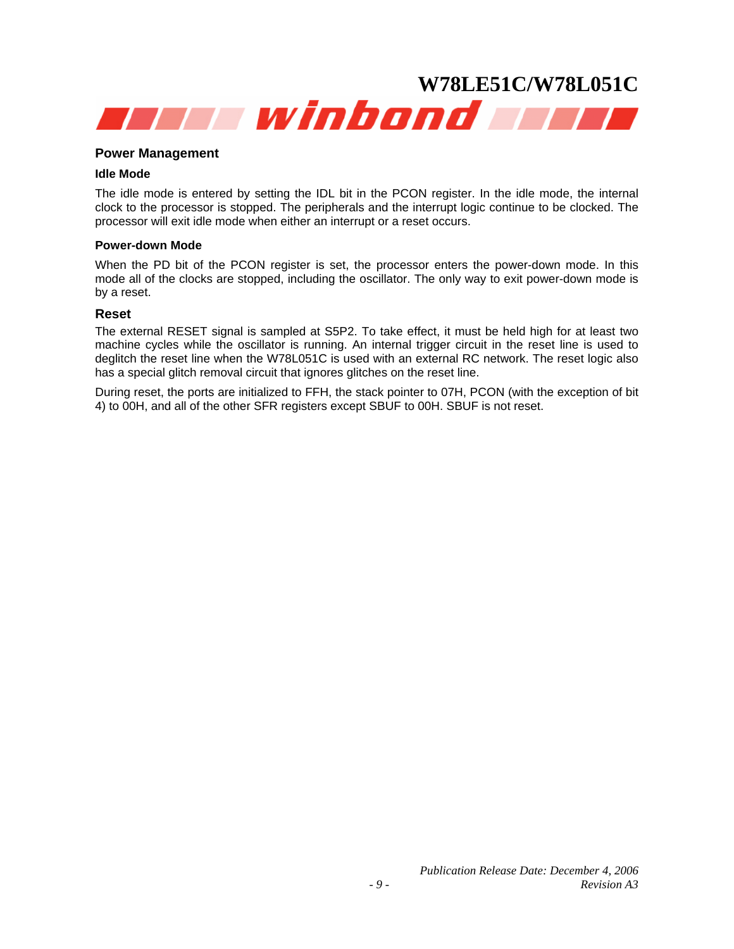

#### **Power Management**

#### **Idle Mode**

The idle mode is entered by setting the IDL bit in the PCON register. In the idle mode, the internal clock to the processor is stopped. The peripherals and the interrupt logic continue to be clocked. The processor will exit idle mode when either an interrupt or a reset occurs.

#### **Power-down Mode**

When the PD bit of the PCON register is set, the processor enters the power-down mode. In this mode all of the clocks are stopped, including the oscillator. The only way to exit power-down mode is by a reset.

#### **Reset**

The external RESET signal is sampled at S5P2. To take effect, it must be held high for at least two machine cycles while the oscillator is running. An internal trigger circuit in the reset line is used to deglitch the reset line when the W78L051C is used with an external RC network. The reset logic also has a special glitch removal circuit that ignores glitches on the reset line.

During reset, the ports are initialized to FFH, the stack pointer to 07H, PCON (with the exception of bit 4) to 00H, and all of the other SFR registers except SBUF to 00H. SBUF is not reset.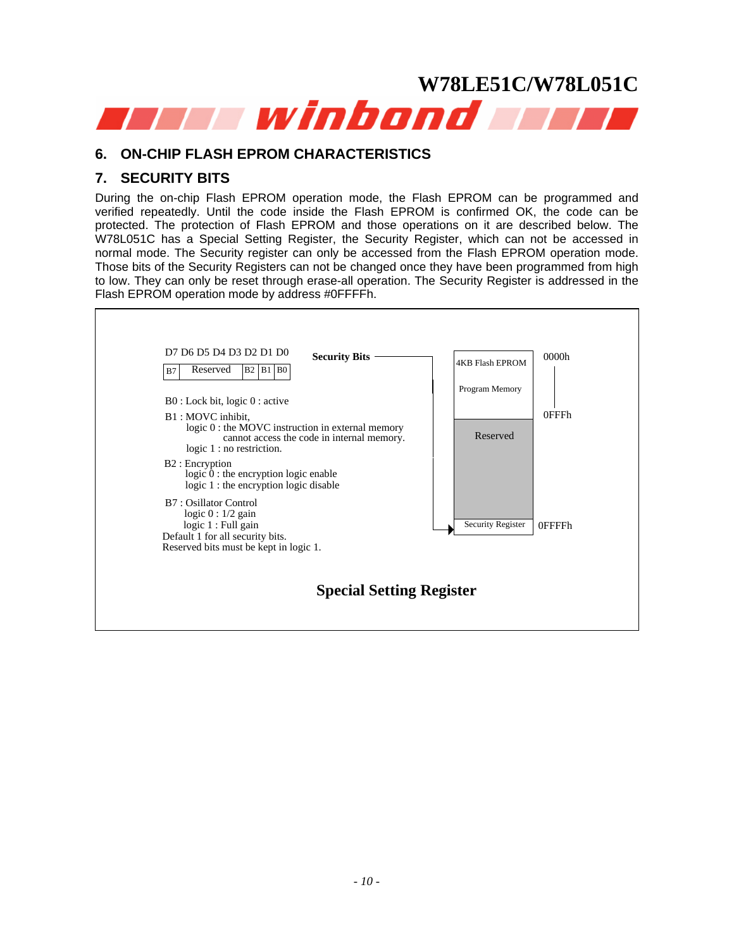<span id="page-9-0"></span>

# **6. ON-CHIP FLASH EPROM CHARACTERISTICS**

# **7. SECURITY BITS**

During the on-chip Flash EPROM operation mode, the Flash EPROM can be programmed and verified repeatedly. Until the code inside the Flash EPROM is confirmed OK, the code can be protected. The protection of Flash EPROM and those operations on it are described below. The W78L051C has a Special Setting Register, the Security Register, which can not be accessed in normal mode. The Security register can only be accessed from the Flash EPROM operation mode. Those bits of the Security Registers can not be changed once they have been programmed from high to low. They can only be reset through erase-all operation. The Security Register is addressed in the Flash EPROM operation mode by address #0FFFFh.

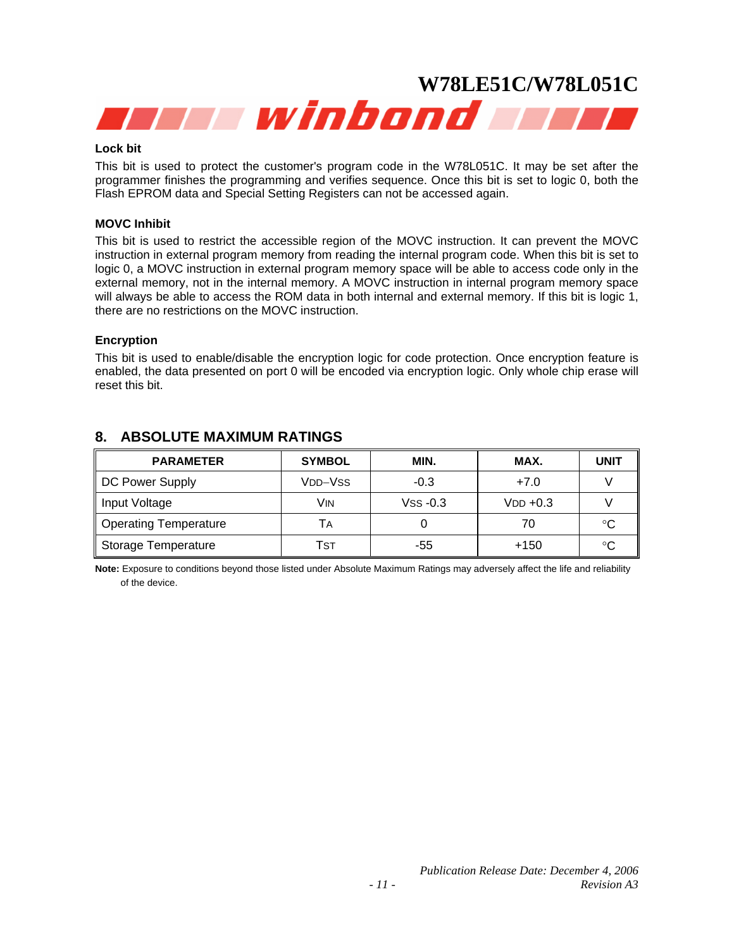<span id="page-10-0"></span>

#### **Lock bit**

This bit is used to protect the customer's program code in the W78L051C. It may be set after the programmer finishes the programming and verifies sequence. Once this bit is set to logic 0, both the Flash EPROM data and Special Setting Registers can not be accessed again.

#### **MOVC Inhibit**

This bit is used to restrict the accessible region of the MOVC instruction. It can prevent the MOVC instruction in external program memory from reading the internal program code. When this bit is set to logic 0, a MOVC instruction in external program memory space will be able to access code only in the external memory, not in the internal memory. A MOVC instruction in internal program memory space will always be able to access the ROM data in both internal and external memory. If this bit is logic 1, there are no restrictions on the MOVC instruction.

#### **Encryption**

This bit is used to enable/disable the encryption logic for code protection. Once encryption feature is enabled, the data presented on port 0 will be encoded via encryption logic. Only whole chip erase will reset this bit.

| <b>PARAMETER</b>      | <b>SYMBOL</b> | MIN.       | MAX.       | <b>UNIT</b> |
|-----------------------|---------------|------------|------------|-------------|
| DC Power Supply       | VDD-VSS       | $-0.3$     | $+7.0$     |             |
| Input Voltage         | Vin           | $VSS -0.3$ | $VDD +0.3$ |             |
| Operating Temperature | TА            |            | 70         | °C          |
| Storage Temperature   | Tsт           | -55        | +150       | °C          |

# **8. ABSOLUTE MAXIMUM RATINGS**

**Note:** Exposure to conditions beyond those listed under Absolute Maximum Ratings may adversely affect the life and reliability of the device.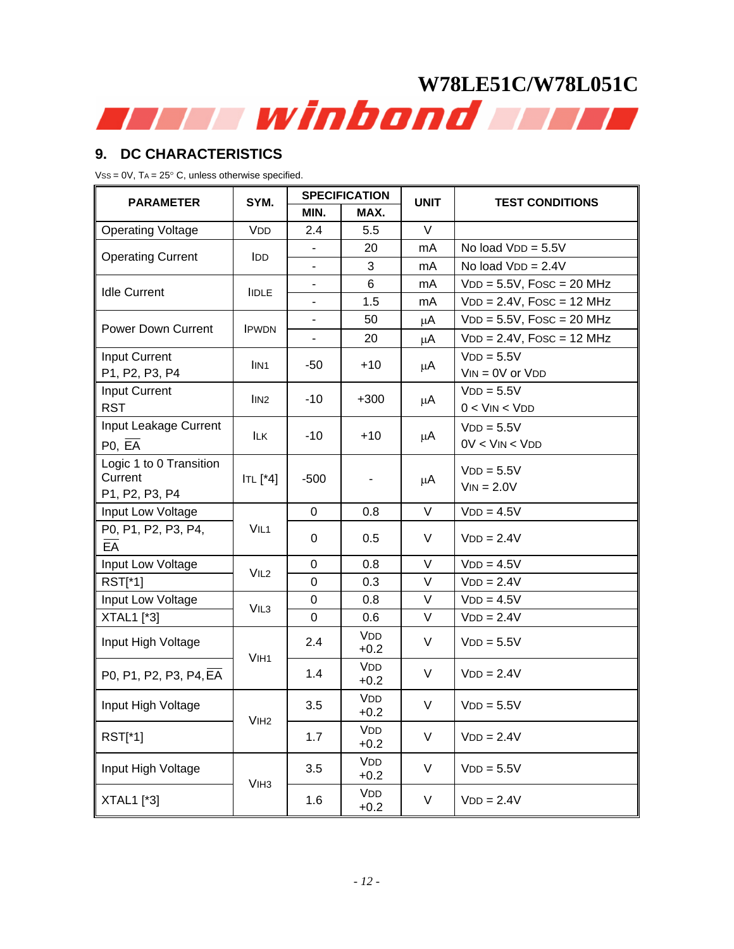# <span id="page-11-0"></span>**9. DC CHARACTERISTICS**

 $VSS = 0V$ ,  $TA = 25^{\circ}$  C, unless otherwise specified.

| <b>PARAMETER</b>          | SYM.                          | <b>SPECIFICATION</b>     |                      | <b>UNIT</b> | <b>TEST CONDITIONS</b>       |  |
|---------------------------|-------------------------------|--------------------------|----------------------|-------------|------------------------------|--|
|                           |                               | MIN.                     | MAX.                 |             |                              |  |
| <b>Operating Voltage</b>  | VDD                           | 2.4                      | 5.5                  | V           |                              |  |
| <b>Operating Current</b>  | <b>I</b> DD                   |                          | 20                   | mA          | No load $VDD = 5.5V$         |  |
|                           |                               |                          | 3                    | mA          | No load $VDD = 2.4V$         |  |
| <b>Idle Current</b>       | <b>IIDLE</b>                  |                          | 6                    | mA          | $VDD = 5.5V$ , Fosc = 20 MHz |  |
|                           |                               | $\blacksquare$           | 1.5                  | mA          | $VDD = 2.4V$ , Fosc = 12 MHz |  |
| <b>Power Down Current</b> |                               |                          | 50                   | μA          | $VDD = 5.5V$ , Fosc = 20 MHz |  |
|                           | <b>IPWDN</b>                  | $\overline{\phantom{a}}$ | 20                   | μA          | $VDD = 2.4V$ , Fosc = 12 MHz |  |
| Input Current             |                               |                          |                      |             | $VDD = 5.5V$                 |  |
| P1, P2, P3, P4            | IIN <sub>1</sub>              | -50                      | $+10$                | μA          | $VIN = OV$ or $VDD$          |  |
| <b>Input Current</b>      | lIN <sub>2</sub>              | $-10$                    | $+300$               |             | $VDD = 5.5V$                 |  |
| <b>RST</b>                |                               |                          |                      | μA          | $0 <$ VIN $<$ VDD            |  |
| Input Leakage Current     | <b>ILK</b><br><b>ITL</b> [*4] | $-10$                    |                      |             | $VDD = 5.5V$                 |  |
| PO, EA                    |                               |                          | $+10$                | μA          | $0V < V$ IN < $V$ DD         |  |
| Logic 1 to 0 Transition   |                               |                          |                      |             | $VDD = 5.5V$                 |  |
| Current                   |                               | $-500$                   |                      | μA          | $VIN = 2.0V$                 |  |
| P1, P2, P3, P4            |                               |                          |                      |             |                              |  |
| Input Low Voltage         |                               | $\Omega$                 | 0.8                  | $\vee$      | $VDD = 4.5V$                 |  |
| P0, P1, P2, P3, P4,       | VIL <sub>1</sub>              | 0                        | 0.5                  | V           | $VDD = 2.4V$                 |  |
| $E\overline{A}$           |                               |                          |                      |             |                              |  |
| Input Low Voltage         | VIL <sub>2</sub>              | $\mathbf 0$              | 0.8                  | $\vee$      | $VDD = 4.5V$                 |  |
| $RST[^*1]$                |                               | 0                        | 0.3                  | V           | $VDD = 2.4V$                 |  |
| Input Low Voltage         | VIL <sub>3</sub>              | 0                        | 0.8                  | $\vee$      | $VDD = 4.5V$                 |  |
| XTAL1 [*3]                |                               | 0                        | 0.6                  | V           | $VDD = 2.4V$                 |  |
| Input High Voltage        | VIH <sub>1</sub>              | 2.4                      | <b>VDD</b><br>$+0.2$ | V           | $VDD = 5.5V$                 |  |
| P0, P1, P2, P3, P4, EA    |                               | 1.4                      | <b>VDD</b><br>$+0.2$ | V           | $VDD = 2.4V$                 |  |
| Input High Voltage        |                               | 3.5                      | <b>VDD</b><br>$+0.2$ | V           | $VDD = 5.5V$                 |  |
| <b>RST[*1]</b>            | V <sub>IH2</sub>              | 1.7                      | VDD<br>$+0.2$        | V           | $VDD = 2.4V$                 |  |
| Input High Voltage        | V <sub>IH3</sub>              | 3.5                      | VDD<br>$+0.2$        | $\vee$      | $VDD = 5.5V$                 |  |
| XTAL1 [*3]                |                               | 1.6                      | <b>VDD</b><br>$+0.2$ | V           | $VDD = 2.4V$                 |  |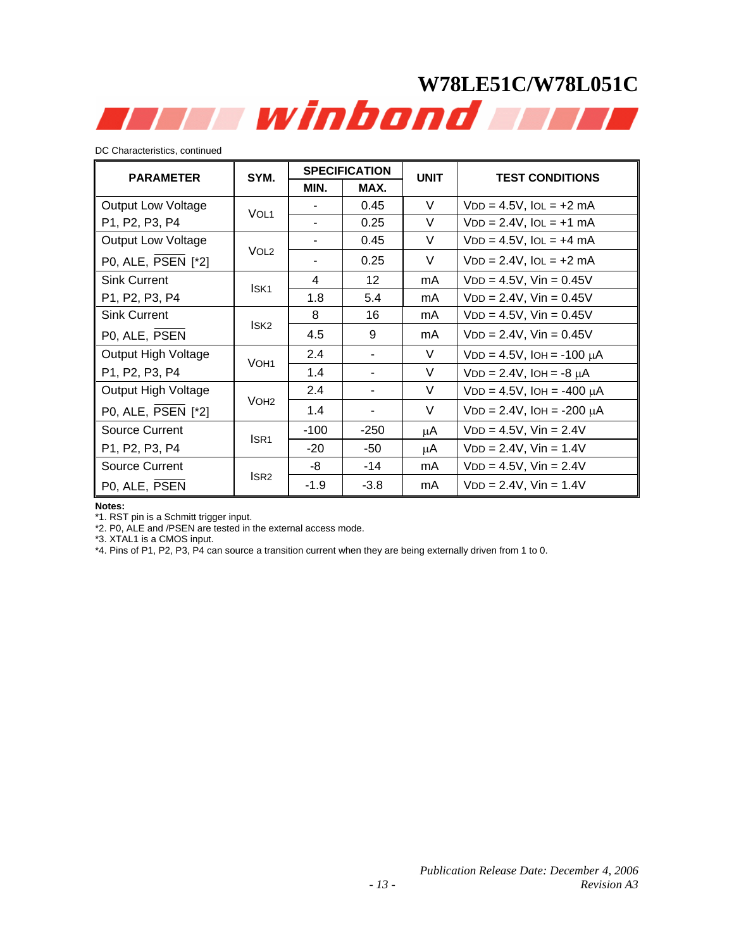# **W78LE51C/W78L051C**  Tili winbond Tili

DC Characteristics, continued

| <b>PARAMETER</b>          | SYM.             |        | <b>SPECIFICATION</b> | <b>UNIT</b> | <b>TEST CONDITIONS</b>            |
|---------------------------|------------------|--------|----------------------|-------------|-----------------------------------|
|                           | MIN.<br>MAX.     |        |                      |             |                                   |
| <b>Output Low Voltage</b> | VOL <sub>1</sub> |        | 0.45                 | V           | $VDD = 4.5V$ , $IOL = +2 mA$      |
| P1, P2, P3, P4            |                  |        | 0.25                 | V           | $VDD = 2.4V$ , $IOL = +1$ mA      |
| Output Low Voltage        | VOL <sub>2</sub> |        | 0.45                 | V           | $VDD = 4.5V$ , $IOL = +4 mA$      |
| P0, ALE, PSEN [*2]        |                  |        | 0.25                 | V           | $VDD = 2.4V$ , $IOL = +2 mA$      |
| <b>Sink Current</b>       | ISK <sub>1</sub> | 4      | 12                   | mA          | $VDD = 4.5V$ , $Vin = 0.45V$      |
| P1, P2, P3, P4            |                  | 1.8    | 5.4                  | mA          | $VDD = 2.4V$ , $Vin = 0.45V$      |
| <b>Sink Current</b>       |                  | 8      | 16                   | mA.         | $VDD = 4.5V$ , $Vin = 0.45V$      |
| P0, ALE, PSEN             | ISK <sub>2</sub> | 4.5    | 9                    | mA          | $VDD = 2.4V$ , $Vin = 0.45V$      |
| Output High Voltage       | VOH <sub>1</sub> | 2.4    |                      | V           | $VDD = 4.5V$ , $IOH = -100 \mu A$ |
| P1, P2, P3, P4            |                  | 1.4    |                      | V           | $VDD = 2.4V$ , $IOH = -8 \mu A$   |
| Output High Voltage       | VOH <sub>2</sub> | 2.4    | -                    | V           | $VDD = 4.5V$ , $IOH = -400 \mu A$ |
| P0, ALE, PSEN [*2]        |                  | 1.4    | ۰                    | V           | $VDD = 2.4V$ , $IOH = -200 \mu A$ |
| <b>Source Current</b>     | ISR <sub>1</sub> | $-100$ | $-250$               | μA          | $VDD = 4.5V$ , $Vin = 2.4V$       |
| P1, P2, P3, P4            |                  | $-20$  | -50                  | μA          | $VDD = 2.4V$ , $Vin = 1.4V$       |
| <b>Source Current</b>     |                  | -8     | -14                  | mA          | $VDD = 4.5V$ , $Vin = 2.4V$       |
| P0, ALE, PSEN             | ISR <sub>2</sub> | $-1.9$ | $-3.8$               | mA          | $VDD = 2.4V$ , $Vin = 1.4V$       |

#### **Notes:**

\*1. RST pin is a Schmitt trigger input.

\*2. P0, ALE and /PSEN are tested in the external access mode.

\*3. XTAL1 is a CMOS input.

\*4. Pins of P1, P2, P3, P4 can source a transition current when they are being externally driven from 1 to 0.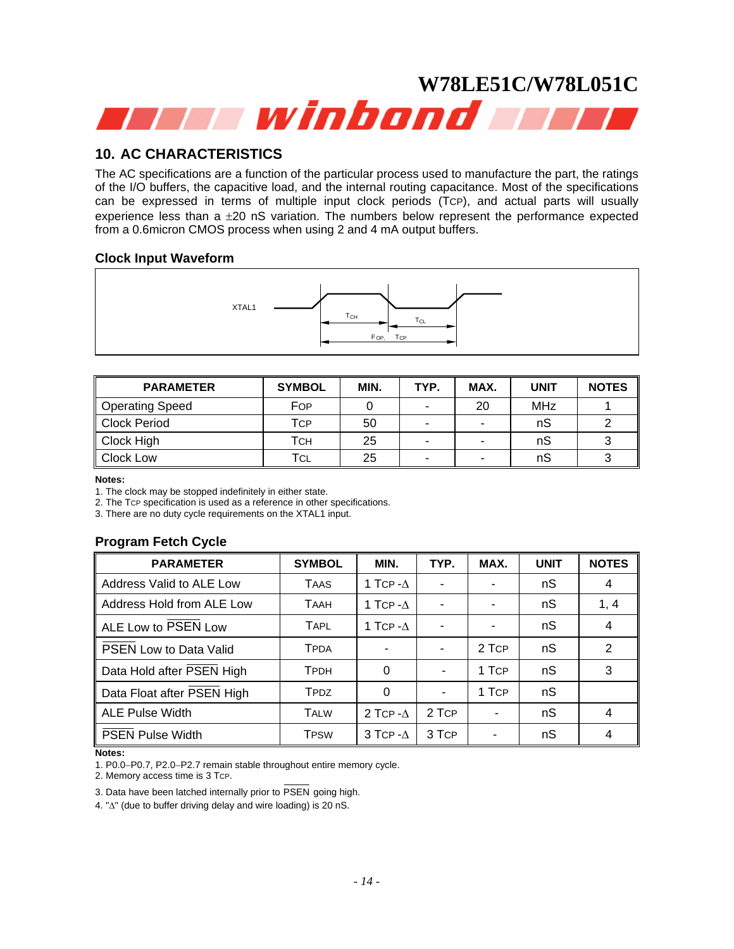# <span id="page-13-0"></span>**W78LE51C/W78L051C**  an a winbond and

# **10. AC CHARACTERISTICS**

The AC specifications are a function of the particular process used to manufacture the part, the ratings of the I/O buffers, the capacitive load, and the internal routing capacitance. Most of the specifications can be expressed in terms of multiple input clock periods (TCP), and actual parts will usually experience less than a  $\pm 20$  nS variation. The numbers below represent the performance expected from a 0.6micron CMOS process when using 2 and 4 mA output buffers.

# **Clock Input Waveform**



| <b>PARAMETER</b> | <b>SYMBOL</b> | MIN. | TYP.                     | MAX. | <b>UNIT</b> | <b>NOTES</b> |
|------------------|---------------|------|--------------------------|------|-------------|--------------|
| Operating Speed  | FOP           |      | $\overline{\phantom{a}}$ | 20   | MHz         |              |
| Clock Period     | Tcp           | 50   | $\overline{\phantom{a}}$ | -    | nS          |              |
| Clock High       | Тсн           | 25   | $\overline{\phantom{a}}$ |      | nS          |              |
| Clock Low        | TCL           | 25   |                          | -    | nS          |              |

#### **Notes:**

1. The clock may be stopped indefinitely in either state.

2. The TCP specification is used as a reference in other specifications.

3. There are no duty cycle requirements on the XTAL1 input.

# **Program Fetch Cycle**

| <b>PARAMETER</b>           | <b>SYMBOL</b> | MIN.                | TYP.  | MAX.  | <b>UNIT</b> | <b>NOTES</b>   |
|----------------------------|---------------|---------------------|-------|-------|-------------|----------------|
| Address Valid to ALE Low   | <b>TAAS</b>   | 1 TCP - $\Lambda$   |       |       | nS          | $\overline{4}$ |
| Address Hold from ALE Low  | <b>TAAH</b>   | 1 TCP $-\Lambda$    |       |       | nS          | 1, 4           |
| ALE Low to PSEN Low        | <b>TAPL</b>   | 1 TCP - $\Delta$    |       |       | nS          | 4              |
| PSEN Low to Data Valid     | <b>TPDA</b>   |                     |       | 2 TCP | nS          | 2              |
| Data Hold after PSEN High  | <b>TPDH</b>   | $\Omega$            |       | 1 TCP | nS          | 3              |
| Data Float after PSEN High | <b>TPDZ</b>   | 0                   |       | 1 TCP | nS          |                |
| <b>ALE Pulse Width</b>     | <b>TALW</b>   | 2 TCP $-A$          | 2 TCP |       | nS          | $\overline{4}$ |
| <b>PSEN Pulse Width</b>    | <b>TPSW</b>   | $3$ TCP - $\Lambda$ | 3 TCP |       | nS          | 4              |

**Notes:** 

1. P0.0−P0.7, P2.0−P2.7 remain stable throughout entire memory cycle.

2. Memory access time is 3 TCP.

3. Data have been latched internally prior to PSEN going high.

4. "Δ" (due to buffer driving delay and wire loading) is 20 nS.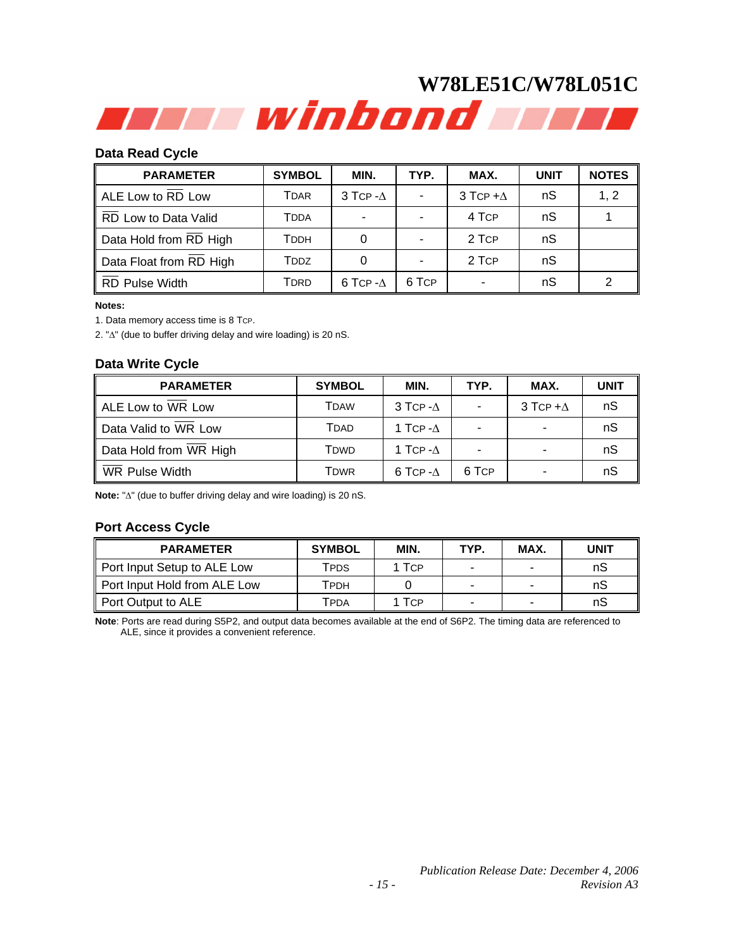### **Data Read Cycle**

| <b>PARAMETER</b>        | <b>SYMBOL</b>                      | MIN.             | TYP.  | MAX.            | <b>UNIT</b> | <b>NOTES</b> |
|-------------------------|------------------------------------|------------------|-------|-----------------|-------------|--------------|
| ALE Low to RD Low       | Tdar                               | 3 TCP- $\Delta$  |       | 3 TCP $+\Delta$ | nS          | 1, 2         |
| RD Low to Data Valid    | TDDA                               |                  |       | 4 TCP           | nS          |              |
| Data Hold from RD High  | Тррн                               |                  |       | 2 TCP           | nS          |              |
| Data Float from RD High | <b>T</b> <sub>D</sub> <sub>D</sub> |                  |       | 2 TCP           | nS          |              |
| RD Pulse Width          | <b>T</b> DRD                       | 6 TCP $-\Lambda$ | 6 TCP |                 | nS          |              |

#### **Notes:**

1. Data memory access time is 8 TCP.

2. "Δ" (due to buffer driving delay and wire loading) is 20 nS.

#### **Data Write Cycle**

| <b>PARAMETER</b>       | <b>SYMBOL</b> | MIN.                | TYP.  | MAX.            | <b>UNIT</b> |
|------------------------|---------------|---------------------|-------|-----------------|-------------|
| ALE Low to WR Low      | TDAW          | $3$ TCP - $\Lambda$ |       | 3 TCP $+\Delta$ | nS          |
| Data Valid to WR Low   | Tdad          | 1 TCP - $\Lambda$   |       |                 | nS          |
| Data Hold from WR High | Tdwd          | 1 TCP - $\Lambda$   |       |                 | nS          |
| WR Pulse Width         | Tdwr          | 6 TCP - $\Lambda$   | 6 TCP |                 | nS          |

**Note:** "Δ" (due to buffer driving delay and wire loading) is 20 nS.

# **Port Access Cycle**

| <b>PARAMETER</b>             | <b>SYMBOL</b> | MIN.       | TYP. | MAX. | <b>UNIT</b> |
|------------------------------|---------------|------------|------|------|-------------|
| Port Input Setup to ALE Low  | TPDS          | <b>TCP</b> |      | -    | nS          |
| Port Input Hold from ALE Low | Тррн          |            | -    | -    | nS          |
| Port Output to ALE           | TPDA          | <b>TCP</b> |      | -    | nS          |

**Note**: Ports are read during S5P2, and output data becomes available at the end of S6P2. The timing data are referenced to ALE, since it provides a convenient reference.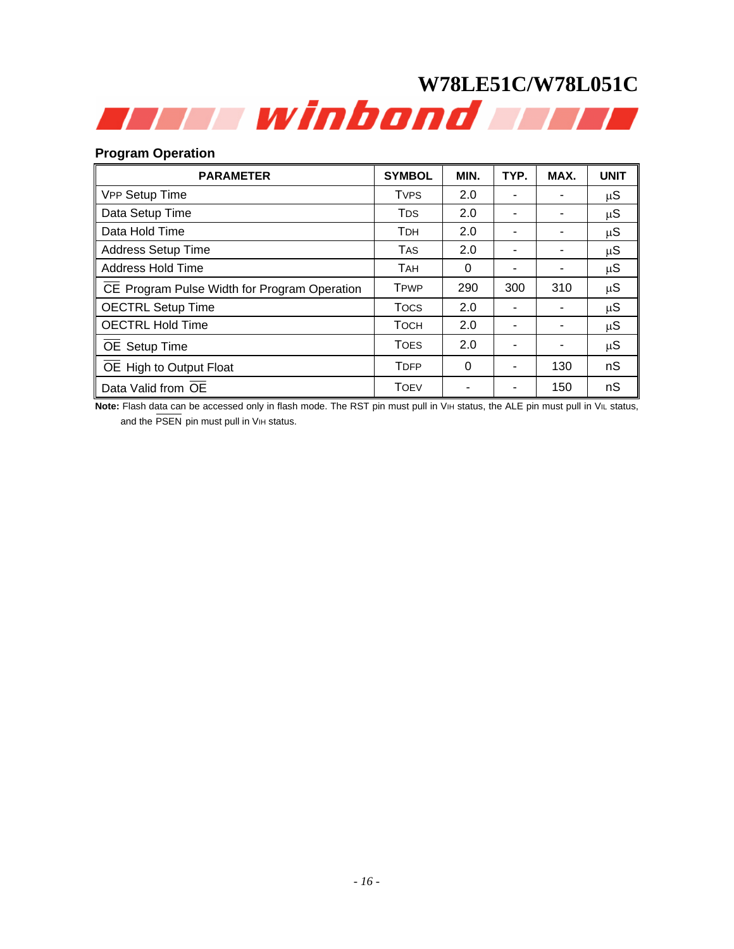# **Program Operation**

| <b>PARAMETER</b>                             | <b>SYMBOL</b>          | MIN.     | TYP. | MAX. | <b>UNIT</b> |
|----------------------------------------------|------------------------|----------|------|------|-------------|
| VPP Setup Time                               | <b>TVPS</b>            | 2.0      |      |      | μS          |
| Data Setup Time                              | <b>T</b> <sub>DS</sub> | 2.0      |      |      | μS          |
| Data Hold Time                               | <b>TDH</b>             | 2.0      |      |      | μS          |
| <b>Address Setup Time</b>                    | <b>TAS</b>             | 2.0      |      |      | $\mu S$     |
| Address Hold Time                            | <b>TAH</b>             | 0        |      |      | $\mu S$     |
| CE Program Pulse Width for Program Operation | <b>TPWP</b>            | 290      | 300  | 310  | $\mu S$     |
| <b>OECTRL Setup Time</b>                     | <b>Tocs</b>            | 2.0      |      |      | $\mu S$     |
| <b>OECTRL Hold Time</b>                      | <b>TOCH</b>            | 2.0      |      |      | $\mu S$     |
| OE Setup Time                                | <b>TOES</b>            | 2.0      |      |      | $\mu S$     |
| OE High to Output Float                      | <b>TDFP</b>            | $\Omega$ | ۰    | 130  | nS          |
| Data Valid from OE                           | <b>TOEV</b>            |          |      | 150  | nS          |

Note: Flash data can be accessed only in flash mode. The RST pin must pull in V<sub>IH</sub> status, the ALE pin must pull in V<sub>IL</sub> status, and the PSEN pin must pull in VIH status.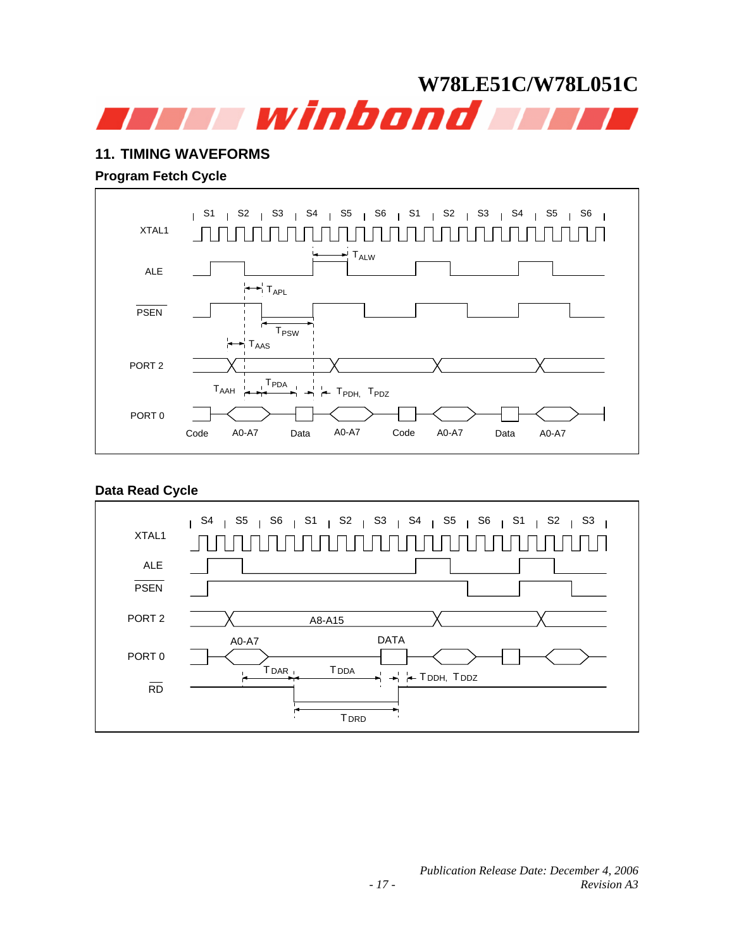# <span id="page-16-0"></span>**W78LE51C/W78L051C**  a a winbond a w

# **11. TIMING WAVEFORMS**

# **Program Fetch Cycle**



# **Data Read Cycle**

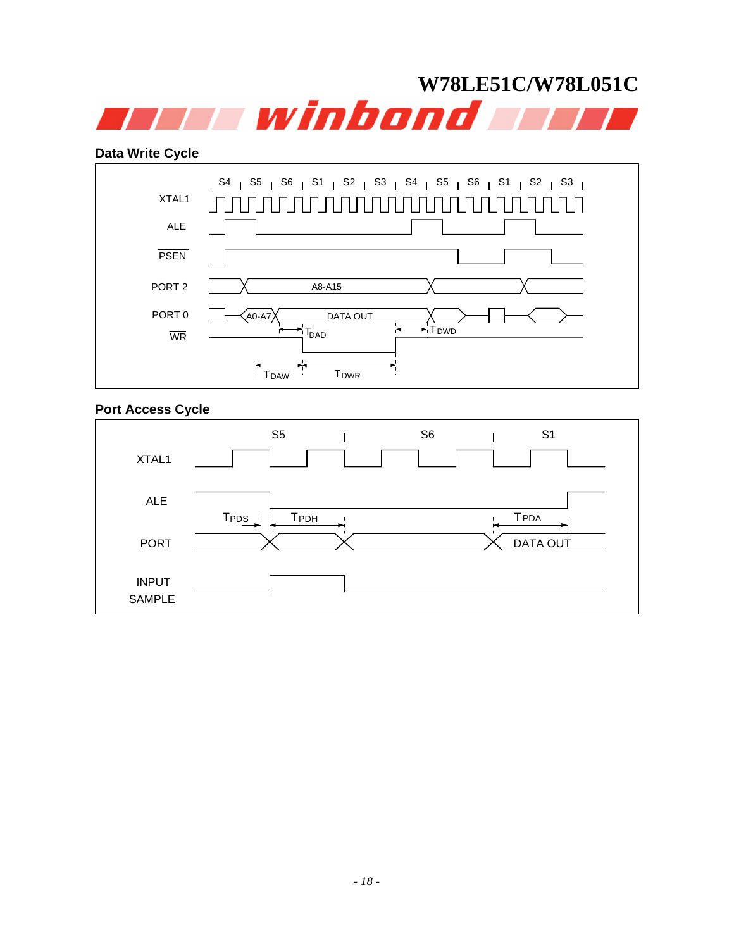

## **Data Write Cycle**



# **Port Access Cycle**

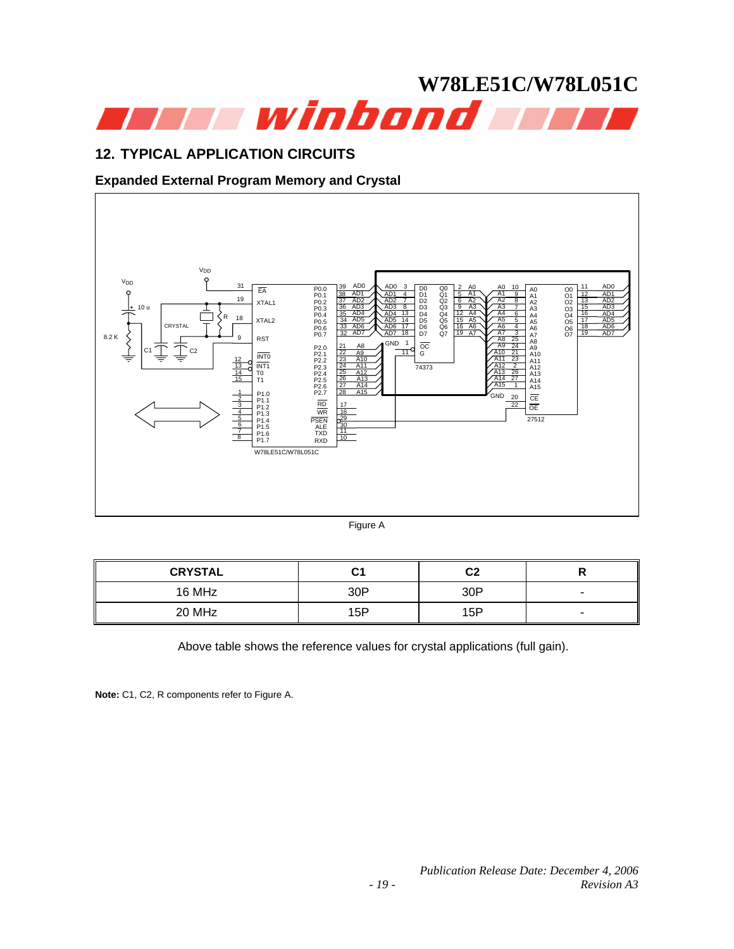<span id="page-18-0"></span>

# **12. TYPICAL APPLICATION CIRCUITS**

# **Expanded External Program Memory and Crystal**



Figure A

| <b>CRYSTAL</b> | C <sub>1</sub> | C2  |                          |
|----------------|----------------|-----|--------------------------|
| 16 MHz         | 30P            | 30P | $\overline{\phantom{a}}$ |
| 20 MHz         | 15P            | 15P |                          |

Above table shows the reference values for crystal applications (full gain).

**Note:** C1, C2, R components refer to Figure A.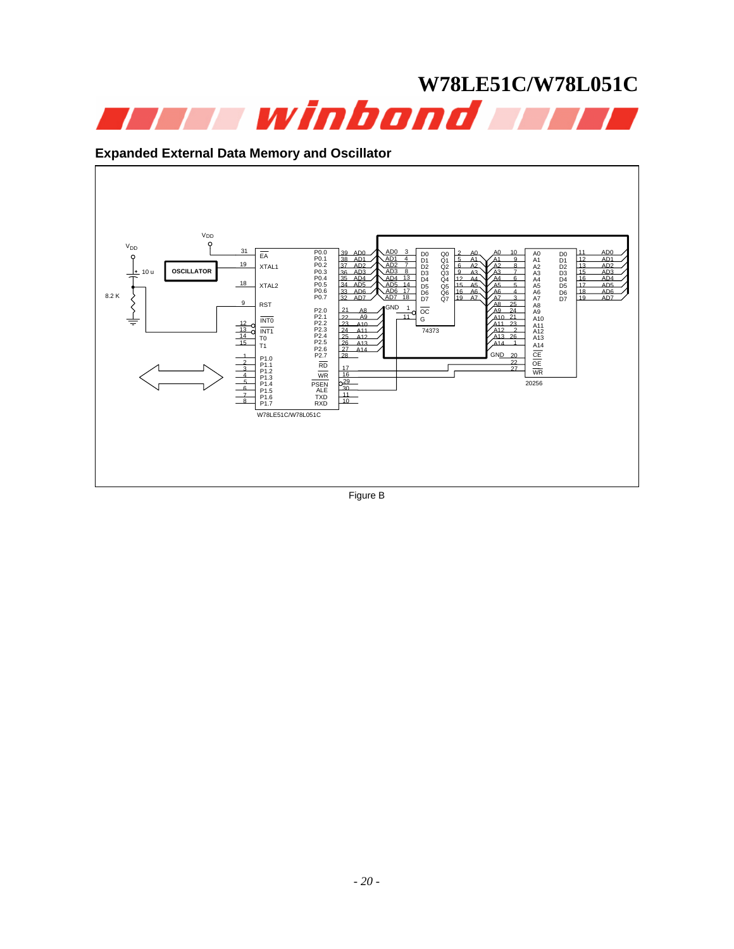

# **Expanded External Data Memory and Oscillator**



Figure B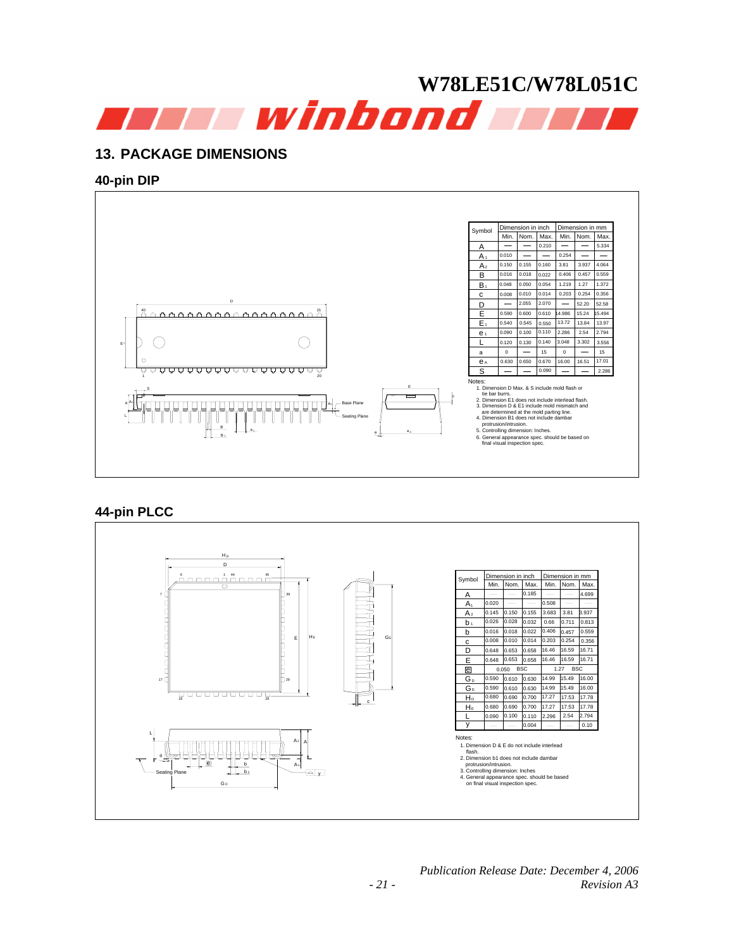<span id="page-20-0"></span>

# **13. PACKAGE DIMENSIONS**

## **40-pin DIP**



# **44-pin PLCC**

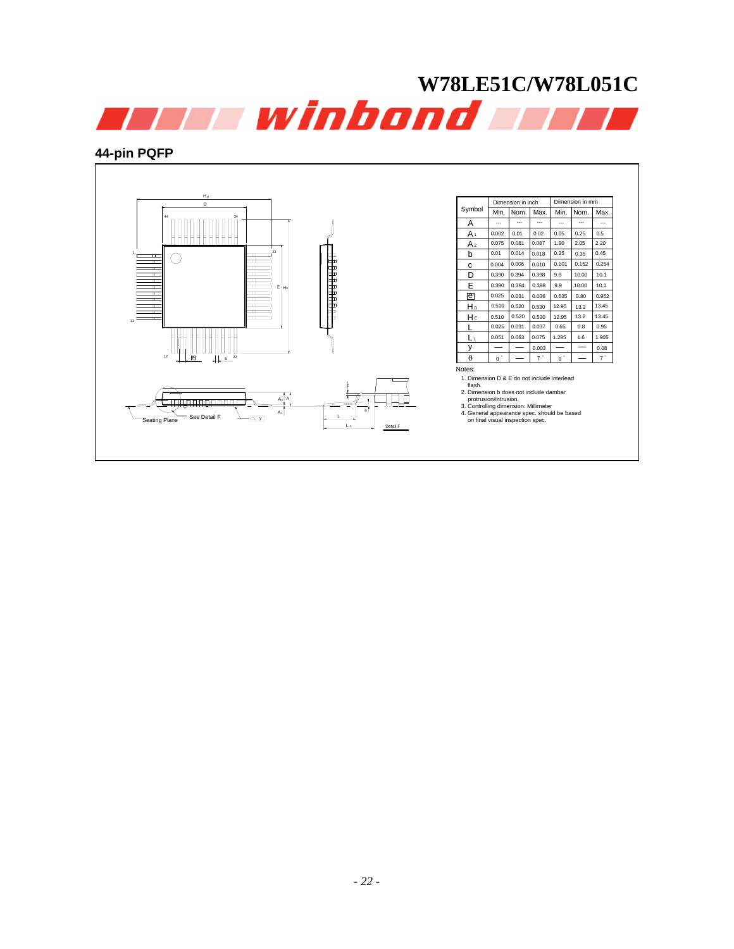

# **44-pin PQFP**